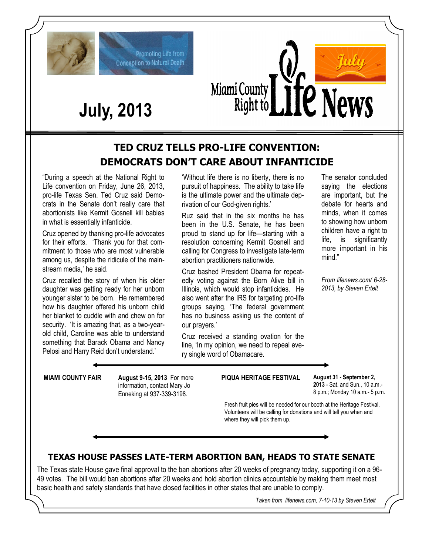



# **July, 2013**

Promoting Life from **Conception to Natural Death** 

### **TED CRUZ TELLS PRO-LIFE CONVENTION: DEMOCRATS DON'T CARE ABOUT INFANTICIDE**

"During a speech at the National Right to Life convention on Friday, June 26, 2013, pro-life Texas Sen. Ted Cruz said Democrats in the Senate don't really care that abortionists like Kermit Gosnell kill babies in what is essentially infanticide.

Cruz opened by thanking pro-life advocates for their efforts. 'Thank you for that commitment to those who are most vulnerable among us, despite the ridicule of the mainstream media,' he said.

Cruz recalled the story of when his older daughter was getting ready for her unborn younger sister to be born. He remembered how his daughter offered his unborn child her blanket to cuddle with and chew on for security. 'It is amazing that, as a two-yearold child, Caroline was able to understand something that Barack Obama and Nancy Pelosi and Harry Reid don't understand.'

'Without life there is no liberty, there is no pursuit of happiness. The ability to take life is the ultimate power and the ultimate deprivation of our God-given rights.'

Ruz said that in the six months he has been in the U.S. Senate, he has been proud to stand up for life—starting with a resolution concerning Kermit Gosnell and calling for Congress to investigate late-term abortion practitioners nationwide.

Cruz bashed President Obama for repeatedly voting against the Born Alive bill in Illinois, which would stop infanticides. He also went after the IRS for targeting pro-life groups saying, 'The federal government has no business asking us the content of our prayers.'

Cruz received a standing ovation for the line, 'In my opinion, we need to repeal every single word of Obamacare.

The senator concluded saying the elections are important, but the debate for hearts and minds, when it comes to showing how unborn children have a right to life, is significantly more important in his mind."

*From lifenews.com/ 6-28- 2013, by Steven Ertelt*

**MIAMI COUNTY FAIR August 9-15, 2013** For more information, contact Mary Jo Enneking at 937-339-3198.

**PIQUA HERITAGE FESTIVAL August 31 - September 2,** 

**2013** - Sat. and Sun., 10 a.m.- 8 p.m.; Monday 10 a.m.- 5 p.m.

Fresh fruit pies will be needed for our booth at the Heritage Festival. Volunteers will be calling for donations and will tell you when and where they will pick them up.

### **TEXAS HOUSE PASSES LATE-TERM ABORTION BAN, HEADS TO STATE SENATE**

The Texas state House gave final approval to the ban abortions after 20 weeks of pregnancy today, supporting it on a 96- 49 votes. The bill would ban abortions after 20 weeks and hold abortion clinics accountable by making them meet most basic health and safety standards that have closed facilities in other states that are unable to comply.

*Taken from lifenews.com, 7-10-13 by Steven Ertelt*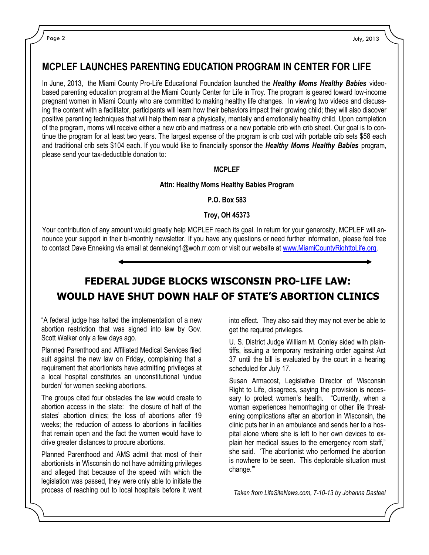### **MCPLEF LAUNCHES PARENTING EDUCATION PROGRAM IN CENTER FOR LIFE**

In June, 2013, the Miami County Pro-Life Educational Foundation launched the *Healthy Moms Healthy Babies* videobased parenting education program at the Miami County Center for Life in Troy. The program is geared toward low-income pregnant women in Miami County who are committed to making healthy life changes. In viewing two videos and discussing the content with a facilitator, participants will learn how their behaviors impact their growing child; they will also discover positive parenting techniques that will help them rear a physically, mentally and emotionally healthy child. Upon completion of the program, moms will receive either a new crib and mattress or a new portable crib with crib sheet. Our goal is to continue the program for at least two years. The largest expense of the program is crib cost with portable crib sets \$58 each and traditional crib sets \$104 each. If you would like to financially sponsor the *Healthy Moms Healthy Babies* program, please send your tax-deductible donation to:

#### **MCPLEF**

#### **Attn: Healthy Moms Healthy Babies Program**

**P.O. Box 583**

**Troy, OH 45373**

Your contribution of any amount would greatly help MCPLEF reach its goal. In return for your generosity, MCPLEF will announce your support in their bi-monthly newsletter. If you have any questions or need further information, please feel free to contact Dave Enneking via email at denneking1@woh.rr.com or visit our website at [www.MiamiCountyRighttoLife.org.](http://www.MiamiCountyRighttoLife.org)

### **FEDERAL JUDGE BLOCKS WISCONSIN PRO-LIFE LAW: WOULD HAVE SHUT DOWN HALF OF STATE'S ABORTION CLINICS**

"A federal judge has halted the implementation of a new abortion restriction that was signed into law by Gov. Scott Walker only a few days ago.

Planned Parenthood and Affiliated Medical Services filed suit against the new law on Friday, complaining that a requirement that abortionists have admitting privileges at a local hospital constitutes an unconstitutional 'undue burden' for women seeking abortions.

The groups cited four obstacles the law would create to abortion access in the state: the closure of half of the states' abortion clinics; the loss of abortions after 19 weeks; the reduction of access to abortions in facilities that remain open and the fact the women would have to drive greater distances to procure abortions.

Planned Parenthood and AMS admit that most of their abortionists in Wisconsin do not have admitting privileges and alleged that because of the speed with which the legislation was passed, they were only able to initiate the process of reaching out to local hospitals before it went into effect. They also said they may not ever be able to get the required privileges.

U. S. District Judge William M. Conley sided with plaintiffs, issuing a temporary restraining order against Act 37 until the bill is evaluated by the court in a hearing scheduled for July 17.

Susan Armacost, Legislative Director of Wisconsin Right to Life, disagrees, saying the provision is necessary to protect women's health. "Currently, when a woman experiences hemorrhaging or other life threatening complications after an abortion in Wisconsin, the clinic puts her in an ambulance and sends her to a hospital alone where she is left to her own devices to explain her medical issues to the emergency room staff," she said. 'The abortionist who performed the abortion is nowhere to be seen. This deplorable situation must change.'"

*Taken from LifeSiteNews.com, 7-10-13 by Johanna Dasteel*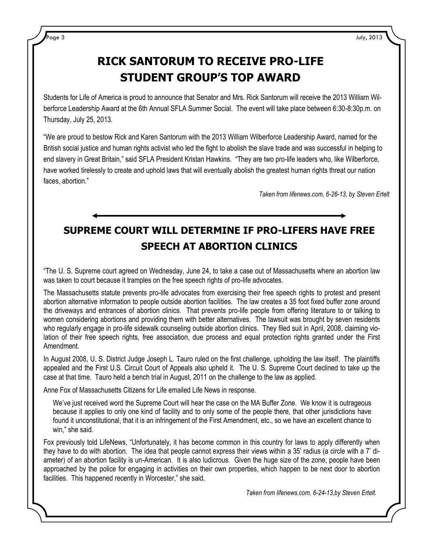## **RICK SANTORUM TO RECEIVE PRO-LIFE STUDENT GROUP'S TOP AWARD**

Students for Life of America is proud to announce that Senator and Mrs. Rick Santorum will receive the 2013 William Wilberforce Leadership Award at the 6th Annual SFLA Summer Social. The event will take place between 6:30-8:30p.m. on Thursday, July 25, 2013.

"We are proud to bestow Rick and Karen Santorum with the 2013 William Wilberforce Leadership Award, named for the British social justice and human rights activist who led the fight to abolish the slave trade and was successful in helping to end slavery in Great Britain," said SFLA President Kristan Hawkins. "They are two pro-life leaders who, like Wilberforce, have worked tirelessly to create and uphold laws that will eventually abolish the greatest human rights threat our nation faces, abortion."

*Taken from lifenews.com, 6-26-13, by Steven Ertelt*

# **SUPREME COURT WILL DETERMINE IF PRO-LIFERS HAVE FREE SPEECH AT ABORTION CLINICS**

"The U. S. Supreme court agreed on Wednesday, June 24, to take a case out of Massachusetts where an abortion law was taken to court because it tramples on the free speech rights of pro-life advocates.

The Massachusetts statute prevents pro-life advocates from exercising their free speech rights to protest and present abortion alternative information to people outside abortion facilities. The law creates a 35 foot fixed buffer zone around the driveways and entrances of abortion clinics. That prevents pro-life people from offering literature to or talking to women considering abortions and providing them with better alternatives. The lawsuit was brought by seven residents who regularly engage in pro-life sidewalk counseling outside abortion clinics. They filed suit in April, 2008, claiming violation of their free speech rights, free association, due process and equal protection rights granted under the First Amendment.

In August 2008, U. S. District Judge Joseph L. Tauro ruled on the first challenge, upholding the law itself. The plaintiffs appealed and the First U.S. Circuit Court of Appeals also upheld it. The U. S. Supreme Court declined to take up the case at that time. Tauro held a bench trial in August, 2011 on the challenge to the law as applied.

Anne Fox of Massachusetts Citizens for Life emailed Life News in response.

We've just received word the Supreme Court will hear the case on the MA Buffer Zone. We know it is outrageous because it applies to only one kind of facility and to only some of the people there, that other jurisdictions have found it unconstitutional, that it is an infringement of the First Amendment, etc., so we have an excellent chance to win," she said.

Fox previously told LifeNews, "Unfortunately, it has become common in this country for laws to apply differently when they have to do with abortion. The idea that people cannot express their views within a 35' radius (a circle with a 7' diameter) of an abortion facility is un-American. It is also ludicrous. Given the huge size of the zone, people have been approached by the police for engaging in activities on their own properties, which happen to be next door to abortion facilities. This happened recently in Worcester," she said.

*Taken from lifenews.com, 6-24-13,by Steven Ertelt.*